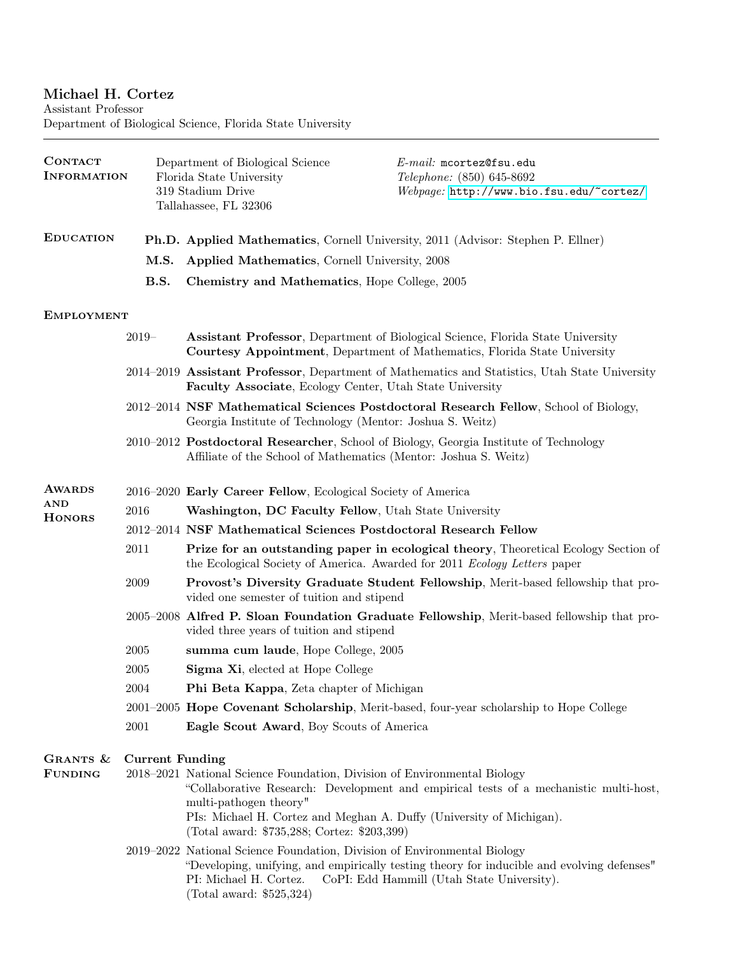# Michael H. Cortez

Assistant Professor Department of Biological Science, Florida State University

| <b>CONTACT</b><br><b>INFORMATION</b> |                        | Department of Biological Science<br>Florida State University<br>319 Stadium Drive<br>Tallahassee, FL 32306                                                                                                                | $E$ -mail: mcortez@fsu.edu<br>Telephone: (850) 645-8692<br>Webpage: http://www.bio.fsu.edu/~cortez/                                                                 |  |
|--------------------------------------|------------------------|---------------------------------------------------------------------------------------------------------------------------------------------------------------------------------------------------------------------------|---------------------------------------------------------------------------------------------------------------------------------------------------------------------|--|
| <b>EDUCATION</b>                     |                        |                                                                                                                                                                                                                           | <b>Ph.D. Applied Mathematics, Cornell University, 2011 (Advisor: Stephen P. Ellner)</b>                                                                             |  |
|                                      | M.S.                   | Applied Mathematics, Cornell University, 2008                                                                                                                                                                             |                                                                                                                                                                     |  |
|                                      | B.S.                   | Chemistry and Mathematics, Hope College, 2005                                                                                                                                                                             |                                                                                                                                                                     |  |
| <b>EMPLOYMENT</b>                    |                        |                                                                                                                                                                                                                           |                                                                                                                                                                     |  |
|                                      | $2019-$                |                                                                                                                                                                                                                           | <b>Assistant Professor, Department of Biological Science, Florida State University</b><br>Courtesy Appointment, Department of Mathematics, Florida State University |  |
|                                      |                        | Faculty Associate, Ecology Center, Utah State University                                                                                                                                                                  | 2014–2019 Assistant Professor, Department of Mathematics and Statistics, Utah State University                                                                      |  |
|                                      |                        | Georgia Institute of Technology (Mentor: Joshua S. Weitz)                                                                                                                                                                 | 2012–2014 NSF Mathematical Sciences Postdoctoral Research Fellow, School of Biology,                                                                                |  |
|                                      |                        | Affiliate of the School of Mathematics (Mentor: Joshua S. Weitz)                                                                                                                                                          | 2010–2012 Postdoctoral Researcher, School of Biology, Georgia Institute of Technology                                                                               |  |
| <b>AWARDS</b>                        |                        | 2016-2020 Early Career Fellow, Ecological Society of America                                                                                                                                                              |                                                                                                                                                                     |  |
| <b>AND</b><br><b>HONORS</b>          | 2016                   | Washington, DC Faculty Fellow, Utah State University                                                                                                                                                                      |                                                                                                                                                                     |  |
|                                      |                        | 2012–2014 NSF Mathematical Sciences Postdoctoral Research Fellow                                                                                                                                                          |                                                                                                                                                                     |  |
|                                      | 2011                   | the Ecological Society of America. Awarded for 2011 Ecology Letters paper                                                                                                                                                 | <b>Prize for an outstanding paper in ecological theory, Theoretical Ecology Section of</b>                                                                          |  |
|                                      | 2009                   | vided one semester of tuition and stipend                                                                                                                                                                                 | Provost's Diversity Graduate Student Fellowship, Merit-based fellowship that pro-                                                                                   |  |
|                                      |                        | vided three years of tuition and stipend                                                                                                                                                                                  | 2005–2008 Alfred P. Sloan Foundation Graduate Fellowship, Merit-based fellowship that pro-                                                                          |  |
|                                      | $\,2005\,$             | summa cum laude, Hope College, 2005                                                                                                                                                                                       |                                                                                                                                                                     |  |
|                                      | 2005                   | Sigma Xi, elected at Hope College                                                                                                                                                                                         |                                                                                                                                                                     |  |
|                                      | 2004                   | Phi Beta Kappa, Zeta chapter of Michigan                                                                                                                                                                                  |                                                                                                                                                                     |  |
|                                      |                        |                                                                                                                                                                                                                           | 2001-2005 Hope Covenant Scholarship, Merit-based, four-year scholarship to Hope College                                                                             |  |
|                                      | 2001                   | Eagle Scout Award, Boy Scouts of America                                                                                                                                                                                  |                                                                                                                                                                     |  |
| GRANTS &<br><b>FUNDING</b>           | <b>Current Funding</b> | 2018–2021 National Science Foundation, Division of Environmental Biology<br>multi-pathogen theory"<br>PIs: Michael H. Cortez and Meghan A. Duffy (University of Michigan).<br>(Total award: \$735,288; Cortez: \$203,399) | "Collaborative Research: Development and empirical tests of a mechanistic multi-host,                                                                               |  |
|                                      |                        | 2019–2022 National Science Foundation, Division of Environmental Biology<br>PI: Michael H. Cortez.<br>(Total award: $$525,324$ )                                                                                          | "Developing, unifying, and empirically testing theory for inducible and evolving defenses"<br>CoPI: Edd Hammill (Utah State University).                            |  |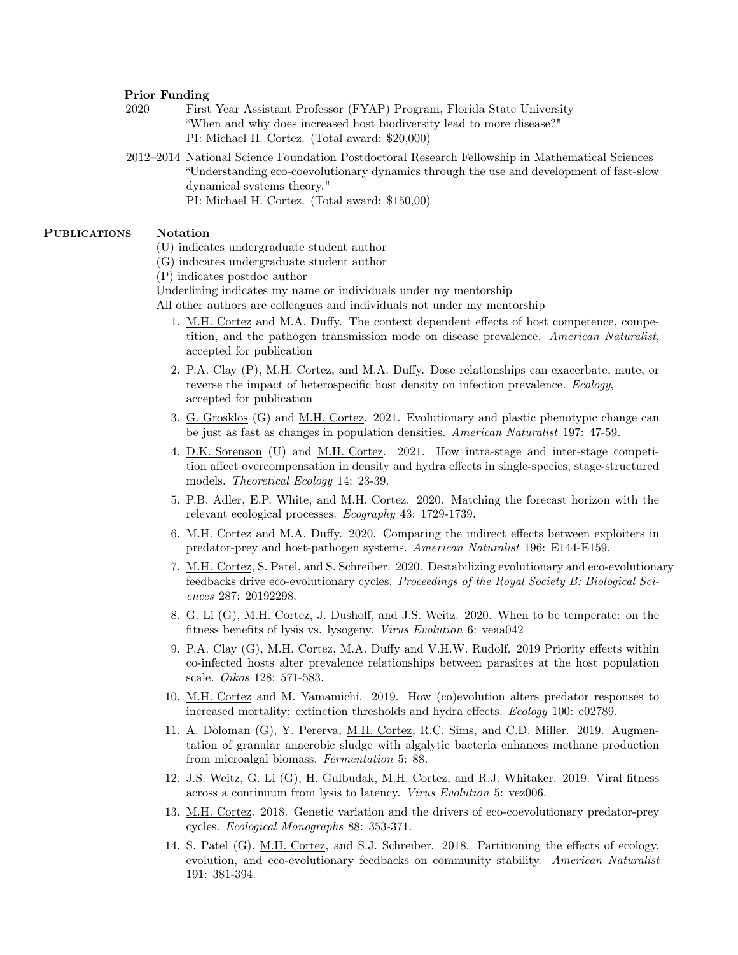#### Prior Funding

2020 First Year Assistant Professor (FYAP) Program, Florida State University "When and why does increased host biodiversity lead to more disease?" PI: Michael H. Cortez. (Total award: \$20,000)

2012–2014 National Science Foundation Postdoctoral Research Fellowship in Mathematical Sciences "Understanding eco-coevolutionary dynamics through the use and development of fast-slow dynamical systems theory."

PI: Michael H. Cortez. (Total award: \$150,00)

### PUBLICATIONS Notation

- (U) indicates undergraduate student author
- (G) indicates undergraduate student author
- (P) indicates postdoc author
- Underlining indicates my name or individuals under my mentorship

All other authors are colleagues and individuals not under my mentorship

- 1. M.H. Cortez and M.A. Duffy. The context dependent effects of host competence, competition, and the pathogen transmission mode on disease prevalence. American Naturalist, accepted for publication
- 2. P.A. Clay (P), M.H. Cortez, and M.A. Duffy. Dose relationships can exacerbate, mute, or reverse the impact of heterospecific host density on infection prevalence. Ecology, accepted for publication
- 3. G. Grosklos (G) and M.H. Cortez. 2021. Evolutionary and plastic phenotypic change can be just as fast as changes in population densities. American Naturalist 197: 47-59.
- 4. D.K. Sorenson (U) and M.H. Cortez. 2021. How intra-stage and inter-stage competition affect overcompensation in density and hydra effects in single-species, stage-structured models. Theoretical Ecology 14: 23-39.
- 5. P.B. Adler, E.P. White, and M.H. Cortez. 2020. Matching the forecast horizon with the relevant ecological processes. Ecography 43: 1729-1739.
- 6. M.H. Cortez and M.A. Duffy. 2020. Comparing the indirect effects between exploiters in predator-prey and host-pathogen systems. American Naturalist 196: E144-E159.
- 7. M.H. Cortez, S. Patel, and S. Schreiber. 2020. Destabilizing evolutionary and eco-evolutionary feedbacks drive eco-evolutionary cycles. Proceedings of the Royal Society B: Biological Sciences 287: 20192298.
- 8. G. Li (G), M.H. Cortez, J. Dushoff, and J.S. Weitz. 2020. When to be temperate: on the fitness benefits of lysis vs. lysogeny. Virus Evolution 6: veaa042
- 9. P.A. Clay (G), M.H. Cortez, M.A. Duffy and V.H.W. Rudolf. 2019 Priority effects within co-infected hosts alter prevalence relationships between parasites at the host population scale. Oikos 128: 571-583.
- 10. M.H. Cortez and M. Yamamichi. 2019. How (co)evolution alters predator responses to increased mortality: extinction thresholds and hydra effects. Ecology 100: e02789.
- 11. A. Doloman (G), Y. Pererva, M.H. Cortez, R.C. Sims, and C.D. Miller. 2019. Augmentation of granular anaerobic sludge with algalytic bacteria enhances methane production from microalgal biomass. Fermentation 5: 88.
- 12. J.S. Weitz, G. Li (G), H. Gulbudak, M.H. Cortez, and R.J. Whitaker. 2019. Viral fitness across a continuum from lysis to latency. Virus Evolution 5: vez006.
- 13. M.H. Cortez. 2018. Genetic variation and the drivers of eco-coevolutionary predator-prey cycles. Ecological Monographs 88: 353-371.
- 14. S. Patel (G), M.H. Cortez, and S.J. Schreiber. 2018. Partitioning the effects of ecology, evolution, and eco-evolutionary feedbacks on community stability. American Naturalist 191: 381-394.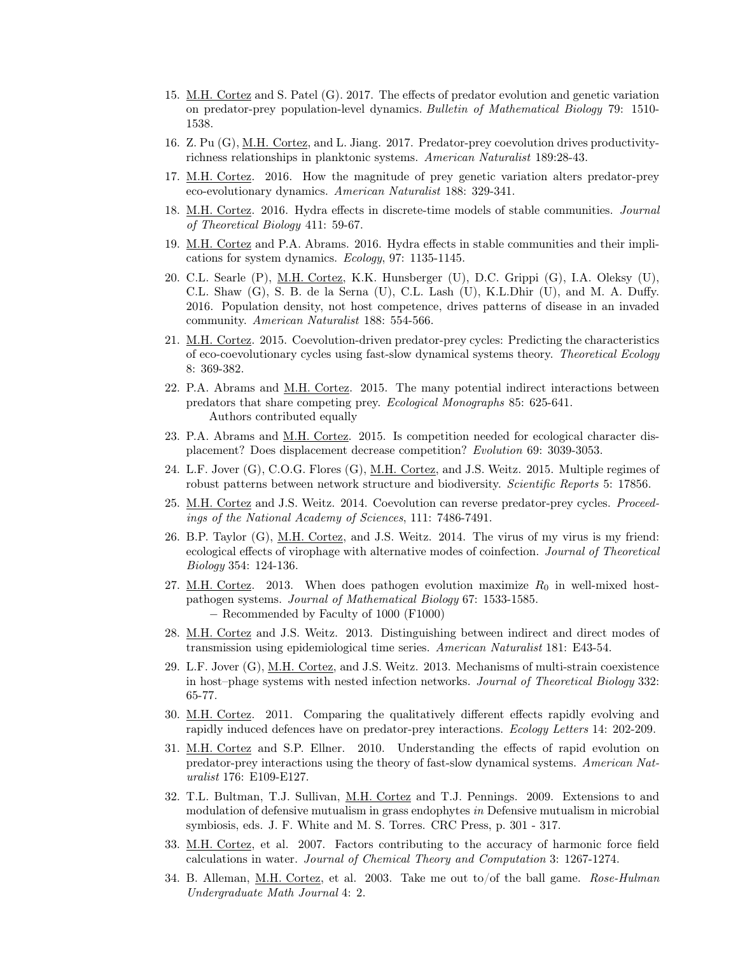- 15. M.H. Cortez and S. Patel (G). 2017. The effects of predator evolution and genetic variation on predator-prey population-level dynamics. Bulletin of Mathematical Biology 79: 1510- 1538.
- 16. Z. Pu (G), M.H. Cortez, and L. Jiang. 2017. Predator-prey coevolution drives productivityrichness relationships in planktonic systems. American Naturalist 189:28-43.
- 17. M.H. Cortez. 2016. How the magnitude of prey genetic variation alters predator-prey eco-evolutionary dynamics. American Naturalist 188: 329-341.
- 18. M.H. Cortez. 2016. Hydra effects in discrete-time models of stable communities. Journal of Theoretical Biology 411: 59-67.
- 19. M.H. Cortez and P.A. Abrams. 2016. Hydra effects in stable communities and their implications for system dynamics. Ecology, 97: 1135-1145.
- 20. C.L. Searle (P), M.H. Cortez, K.K. Hunsberger (U), D.C. Grippi (G), I.A. Oleksy (U), C.L. Shaw (G), S. B. de la Serna (U), C.L. Lash (U), K.L.Dhir (U), and M. A. Duffy. 2016. Population density, not host competence, drives patterns of disease in an invaded community. American Naturalist 188: 554-566.
- 21. M.H. Cortez. 2015. Coevolution-driven predator-prey cycles: Predicting the characteristics of eco-coevolutionary cycles using fast-slow dynamical systems theory. Theoretical Ecology 8: 369-382.
- 22. P.A. Abrams and M.H. Cortez. 2015. The many potential indirect interactions between predators that share competing prey. Ecological Monographs 85: 625-641. Authors contributed equally
- 23. P.A. Abrams and M.H. Cortez. 2015. Is competition needed for ecological character displacement? Does displacement decrease competition? Evolution 69: 3039-3053.
- 24. L.F. Jover (G), C.O.G. Flores (G), M.H. Cortez, and J.S. Weitz. 2015. Multiple regimes of robust patterns between network structure and biodiversity. Scientific Reports 5: 17856.
- 25. M.H. Cortez and J.S. Weitz. 2014. Coevolution can reverse predator-prey cycles. Proceedings of the National Academy of Sciences, 111: 7486-7491.
- 26. B.P. Taylor (G), M.H. Cortez, and J.S. Weitz. 2014. The virus of my virus is my friend: ecological effects of virophage with alternative modes of coinfection. Journal of Theoretical Biology 354: 124-136.
- 27. M.H. Cortez. 2013. When does pathogen evolution maximize  $R_0$  in well-mixed hostpathogen systems. Journal of Mathematical Biology 67: 1533-1585. − Recommended by Faculty of 1000 (F1000)
- 28. M.H. Cortez and J.S. Weitz. 2013. Distinguishing between indirect and direct modes of transmission using epidemiological time series. American Naturalist 181: E43-54.
- 29. L.F. Jover (G), <u>M.H. Cortez</u>, and J.S. Weitz. 2013. Mechanisms of multi-strain coexistence in host–phage systems with nested infection networks. Journal of Theoretical Biology 332: 65-77.
- 30. M.H. Cortez. 2011. Comparing the qualitatively different effects rapidly evolving and rapidly induced defences have on predator-prey interactions. Ecology Letters 14: 202-209.
- 31. M.H. Cortez and S.P. Ellner. 2010. Understanding the effects of rapid evolution on predator-prey interactions using the theory of fast-slow dynamical systems. American Naturalist 176: E109-E127.
- 32. T.L. Bultman, T.J. Sullivan, M.H. Cortez and T.J. Pennings. 2009. Extensions to and modulation of defensive mutualism in grass endophytes in Defensive mutualism in microbial symbiosis, eds. J. F. White and M. S. Torres. CRC Press, p. 301 - 317.
- 33. M.H. Cortez, et al. 2007. Factors contributing to the accuracy of harmonic force field calculations in water. Journal of Chemical Theory and Computation 3: 1267-1274.
- 34. B. Alleman, M.H. Cortez, et al. 2003. Take me out to/of the ball game. Rose-Hulman Undergraduate Math Journal 4: 2.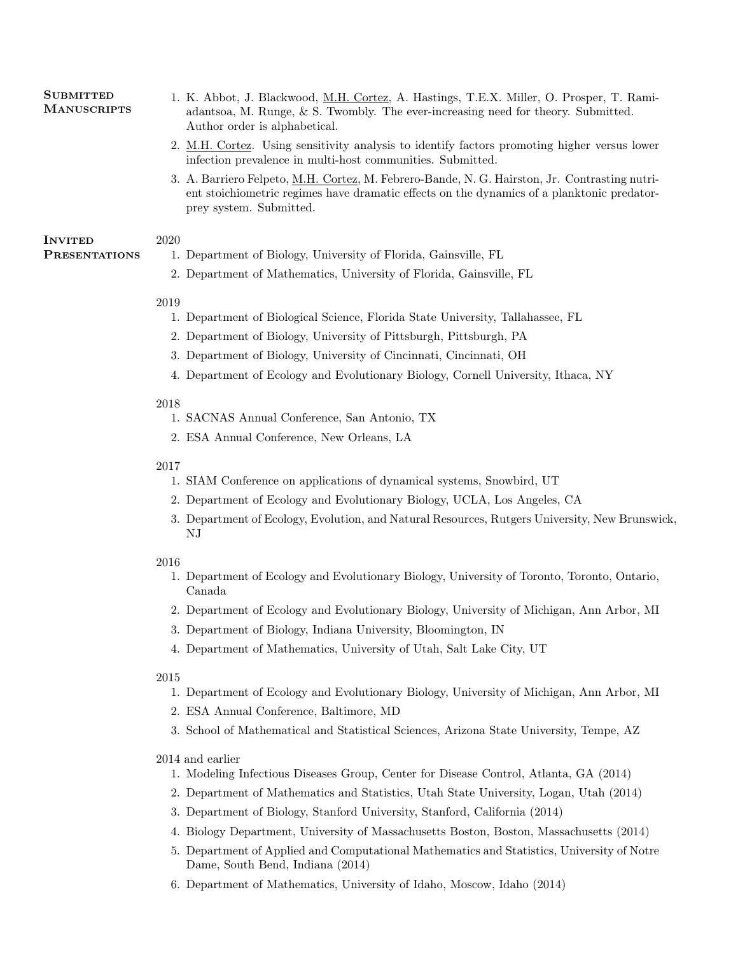#### **SUBMITTED MANUSCRIPTS**

- 1. K. Abbot, J. Blackwood, M.H. Cortez, A. Hastings, T.E.X. Miller, O. Prosper, T. Ramiadantsoa, M. Runge, & S. Twombly. The ever-increasing need for theory. Submitted. Author order is alphabetical.
- 2. M.H. Cortez. Using sensitivity analysis to identify factors promoting higher versus lower infection prevalence in multi-host communities. Submitted.
- 3. A. Barriero Felpeto, M.H. Cortez, M. Febrero-Bande, N. G. Hairston, Jr. Contrasting nutrient stoichiometric regimes have dramatic effects on the dynamics of a planktonic predatorprey system. Submitted.

#### **INVITED** 2020

**PRESENTATIONS** 

- 1. Department of Biology, University of Florida, Gainsville, FL
- 2. Department of Mathematics, University of Florida, Gainsville, FL

## 2019

- 1. Department of Biological Science, Florida State University, Tallahassee, FL
- 2. Department of Biology, University of Pittsburgh, Pittsburgh, PA
- 3. Department of Biology, University of Cincinnati, Cincinnati, OH
- 4. Department of Ecology and Evolutionary Biology, Cornell University, Ithaca, NY

## 2018

- 1. SACNAS Annual Conference, San Antonio, TX
- 2. ESA Annual Conference, New Orleans, LA

## 2017

- 1. SIAM Conference on applications of dynamical systems, Snowbird, UT
- 2. Department of Ecology and Evolutionary Biology, UCLA, Los Angeles, CA
- 3. Department of Ecology, Evolution, and Natural Resources, Rutgers University, New Brunswick, NJ

## 2016

- 1. Department of Ecology and Evolutionary Biology, University of Toronto, Toronto, Ontario, Canada
- 2. Department of Ecology and Evolutionary Biology, University of Michigan, Ann Arbor, MI
- 3. Department of Biology, Indiana University, Bloomington, IN
- 4. Department of Mathematics, University of Utah, Salt Lake City, UT

2015

- 1. Department of Ecology and Evolutionary Biology, University of Michigan, Ann Arbor, MI
- 2. ESA Annual Conference, Baltimore, MD
- 3. School of Mathematical and Statistical Sciences, Arizona State University, Tempe, AZ

## 2014 and earlier

- 1. Modeling Infectious Diseases Group, Center for Disease Control, Atlanta, GA (2014)
- 2. Department of Mathematics and Statistics, Utah State University, Logan, Utah (2014)
- 3. Department of Biology, Stanford University, Stanford, California (2014)
- 4. Biology Department, University of Massachusetts Boston, Boston, Massachusetts (2014)
- 5. Department of Applied and Computational Mathematics and Statistics, University of Notre Dame, South Bend, Indiana (2014)
- 6. Department of Mathematics, University of Idaho, Moscow, Idaho (2014)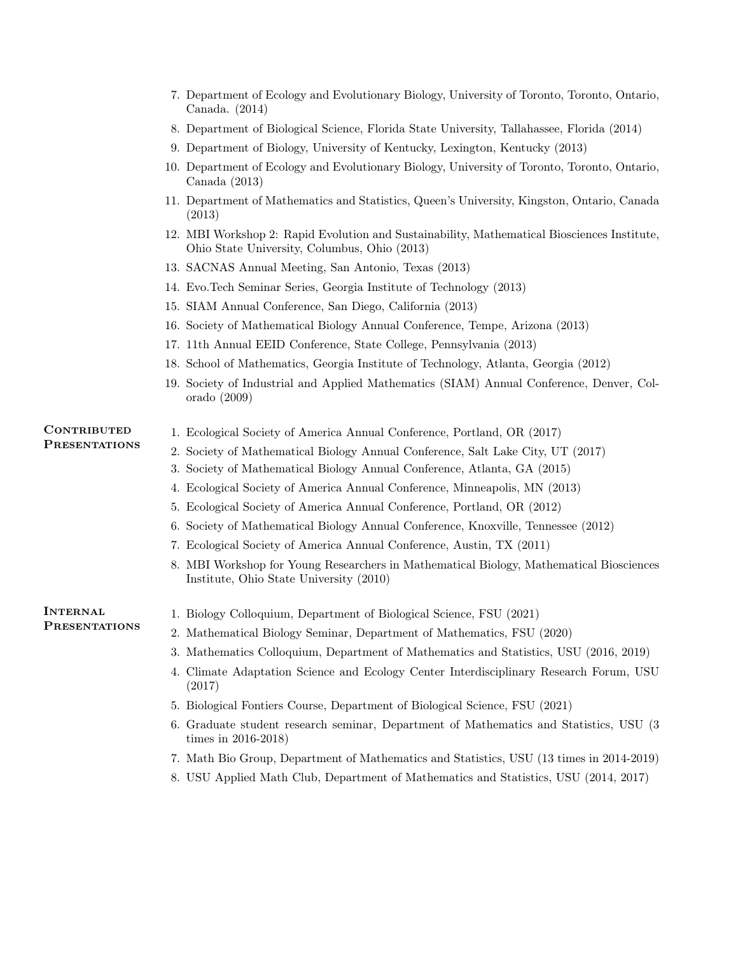- 7. Department of Ecology and Evolutionary Biology, University of Toronto, Toronto, Ontario, Canada. (2014)
- 8. Department of Biological Science, Florida State University, Tallahassee, Florida (2014)
- 9. Department of Biology, University of Kentucky, Lexington, Kentucky (2013)
- 10. Department of Ecology and Evolutionary Biology, University of Toronto, Toronto, Ontario, Canada (2013)
- 11. Department of Mathematics and Statistics, Queen's University, Kingston, Ontario, Canada (2013)
- 12. MBI Workshop 2: Rapid Evolution and Sustainability, Mathematical Biosciences Institute, Ohio State University, Columbus, Ohio (2013)
- 13. SACNAS Annual Meeting, San Antonio, Texas (2013)
- 14. Evo.Tech Seminar Series, Georgia Institute of Technology (2013)
- 15. SIAM Annual Conference, San Diego, California (2013)
- 16. Society of Mathematical Biology Annual Conference, Tempe, Arizona (2013)
- 17. 11th Annual EEID Conference, State College, Pennsylvania (2013)
- 18. School of Mathematics, Georgia Institute of Technology, Atlanta, Georgia (2012)
- 19. Society of Industrial and Applied Mathematics (SIAM) Annual Conference, Denver, Colorado (2009)

### **CONTRIBUTED PRESENTATIONS**

- 1. Ecological Society of America Annual Conference, Portland, OR (2017)
- 2. Society of Mathematical Biology Annual Conference, Salt Lake City, UT (2017)
- 3. Society of Mathematical Biology Annual Conference, Atlanta, GA (2015)
- 4. Ecological Society of America Annual Conference, Minneapolis, MN (2013)
- 5. Ecological Society of America Annual Conference, Portland, OR (2012)
- 6. Society of Mathematical Biology Annual Conference, Knoxville, Tennessee (2012)
- 7. Ecological Society of America Annual Conference, Austin, TX (2011)
- 8. MBI Workshop for Young Researchers in Mathematical Biology, Mathematical Biosciences Institute, Ohio State University (2010)

#### **INTERNAL PRESENTATIONS**

- 1. Biology Colloquium, Department of Biological Science, FSU (2021)
- 2. Mathematical Biology Seminar, Department of Mathematics, FSU (2020)
- 3. Mathematics Colloquium, Department of Mathematics and Statistics, USU (2016, 2019)
- 4. Climate Adaptation Science and Ecology Center Interdisciplinary Research Forum, USU (2017)
- 5. Biological Fontiers Course, Department of Biological Science, FSU (2021)
- 6. Graduate student research seminar, Department of Mathematics and Statistics, USU (3 times in 2016-2018)
- 7. Math Bio Group, Department of Mathematics and Statistics, USU (13 times in 2014-2019)
- 8. USU Applied Math Club, Department of Mathematics and Statistics, USU (2014, 2017)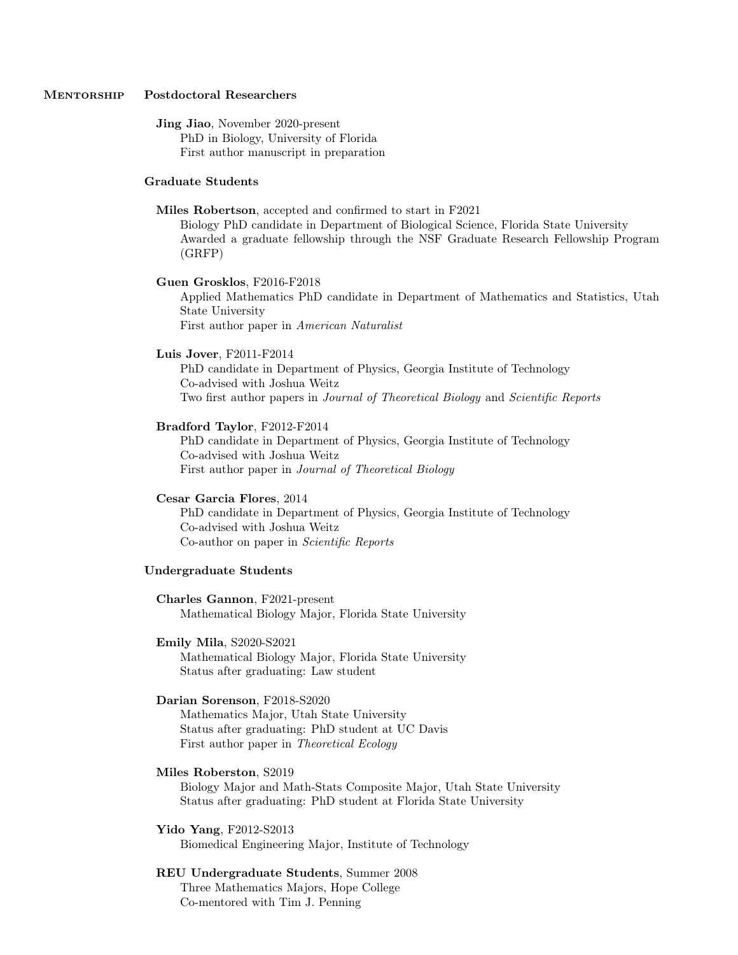#### MENTORSHIP Postdoctoral Researchers

Jing Jiao, November 2020-present

PhD in Biology, University of Florida First author manuscript in preparation

#### Graduate Students

Miles Robertson, accepted and confirmed to start in F2021

Biology PhD candidate in Department of Biological Science, Florida State University Awarded a graduate fellowship through the NSF Graduate Research Fellowship Program (GRFP)

#### Guen Grosklos, F2016-F2018

Applied Mathematics PhD candidate in Department of Mathematics and Statistics, Utah State University

First author paper in American Naturalist

#### Luis Jover, F2011-F2014

PhD candidate in Department of Physics, Georgia Institute of Technology Co-advised with Joshua Weitz Two first author papers in Journal of Theoretical Biology and Scientific Reports

#### Bradford Taylor, F2012-F2014

PhD candidate in Department of Physics, Georgia Institute of Technology Co-advised with Joshua Weitz First author paper in Journal of Theoretical Biology

#### Cesar Garcia Flores, 2014

PhD candidate in Department of Physics, Georgia Institute of Technology Co-advised with Joshua Weitz Co-author on paper in Scientific Reports

#### Undergraduate Students

Charles Gannon, F2021-present Mathematical Biology Major, Florida State University

#### Emily Mila, S2020-S2021

Mathematical Biology Major, Florida State University Status after graduating: Law student

#### Darian Sorenson, F2018-S2020

Mathematics Major, Utah State University Status after graduating: PhD student at UC Davis First author paper in Theoretical Ecology

#### Miles Roberston, S2019

Biology Major and Math-Stats Composite Major, Utah State University Status after graduating: PhD student at Florida State University

#### Yido Yang, F2012-S2013

Biomedical Engineering Major, Institute of Technology

### REU Undergraduate Students, Summer 2008

Three Mathematics Majors, Hope College Co-mentored with Tim J. Penning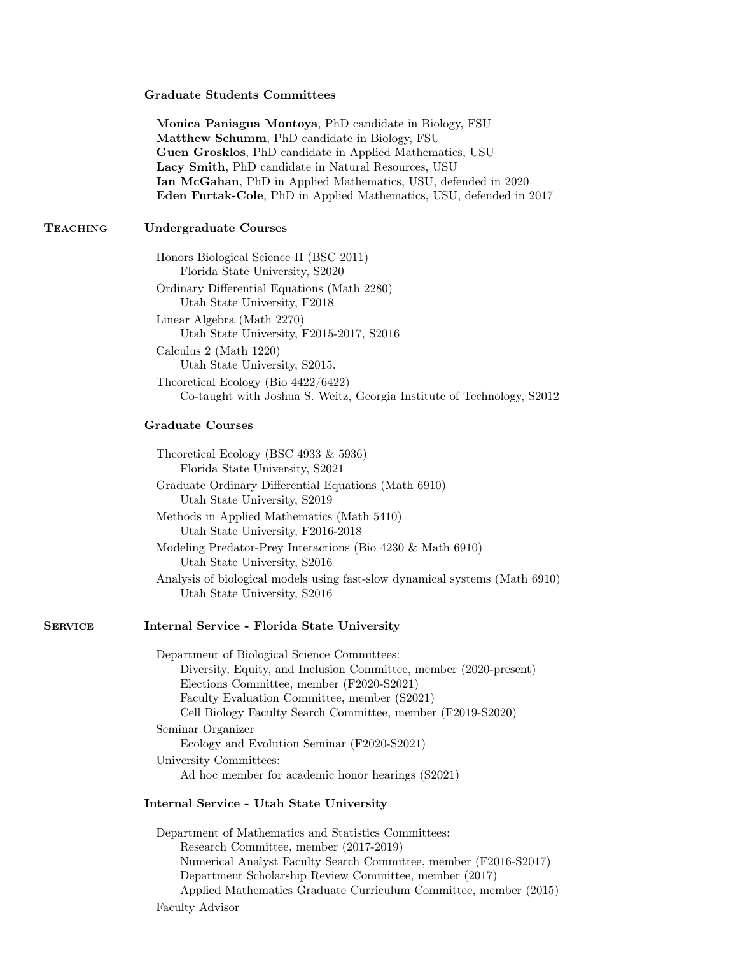#### Graduate Students Committees

Monica Paniagua Montoya, PhD candidate in Biology, FSU Matthew Schumm, PhD candidate in Biology, FSU Guen Grosklos, PhD candidate in Applied Mathematics, USU Lacy Smith, PhD candidate in Natural Resources, USU Ian McGahan, PhD in Applied Mathematics, USU, defended in 2020 Eden Furtak-Cole, PhD in Applied Mathematics, USU, defended in 2017

### Teaching Undergraduate Courses

| Honors Biological Science II (BSC 2011)                                |
|------------------------------------------------------------------------|
| Florida State University, S2020                                        |
| Ordinary Differential Equations (Math 2280)                            |
| Utah State University, F2018                                           |
| Linear Algebra (Math 2270)                                             |
| Utah State University, F2015-2017, S2016                               |
| Calculus 2 (Math 1220)                                                 |
| Utah State University, S2015.                                          |
| Theoretical Ecology (Bio $4422/6422$ )                                 |
| Co-taught with Joshua S. Weitz, Georgia Institute of Technology, S2012 |

#### Graduate Courses

| Theoretical Ecology (BSC 4933 $\&$ 5936)<br>Florida State University, S2021                                 |
|-------------------------------------------------------------------------------------------------------------|
| Graduate Ordinary Differential Equations (Math 6910)<br>Utah State University, S2019                        |
| Methods in Applied Mathematics (Math 5410)<br>Utah State University, F2016-2018                             |
| Modeling Predator-Prey Interactions (Bio $4230 \& \text{Math } 6910$ )<br>Utah State University, S2016      |
| Analysis of biological models using fast-slow dynamical systems (Math 6910)<br>Utah State University, S2016 |
|                                                                                                             |

### SERVICE Internal Service - Florida State University

Department of Biological Science Committees: Diversity, Equity, and Inclusion Committee, member (2020-present) Elections Committee, member (F2020-S2021) Faculty Evaluation Committee, member (S2021) Cell Biology Faculty Search Committee, member (F2019-S2020) Seminar Organizer Ecology and Evolution Seminar (F2020-S2021) University Committees: Ad hoc member for academic honor hearings (S2021)

#### Internal Service - Utah State University

Department of Mathematics and Statistics Committees: Research Committee, member (2017-2019) Numerical Analyst Faculty Search Committee, member (F2016-S2017) Department Scholarship Review Committee, member (2017) Applied Mathematics Graduate Curriculum Committee, member (2015) Faculty Advisor